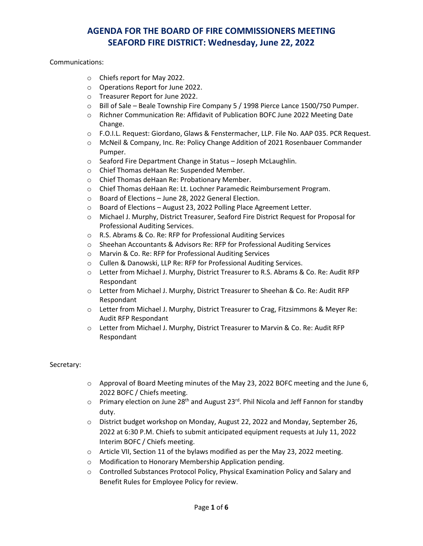Communications:

- o Chiefs report for May 2022.
- o Operations Report for June 2022.
- o Treasurer Report for June 2022.
- $\circ$  Bill of Sale Beale Township Fire Company 5 / 1998 Pierce Lance 1500/750 Pumper.
- o Richner Communication Re: Affidavit of Publication BOFC June 2022 Meeting Date Change.
- o F.O.I.L. Request: Giordano, Glaws & Fenstermacher, LLP. File No. AAP 035. PCR Request.
- o McNeil & Company, Inc. Re: Policy Change Addition of 2021 Rosenbauer Commander Pumper.
- o Seaford Fire Department Change in Status Joseph McLaughlin.
- o Chief Thomas deHaan Re: Suspended Member.
- o Chief Thomas deHaan Re: Probationary Member.
- o Chief Thomas deHaan Re: Lt. Lochner Paramedic Reimbursement Program.
- o Board of Elections June 28, 2022 General Election.
- o Board of Elections August 23, 2022 Polling Place Agreement Letter.
- o Michael J. Murphy, District Treasurer, Seaford Fire District Request for Proposal for Professional Auditing Services.
- o R.S. Abrams & Co. Re: RFP for Professional Auditing Services
- o Sheehan Accountants & Advisors Re: RFP for Professional Auditing Services
- o Marvin & Co. Re: RFP for Professional Auditing Services
- o Cullen & Danowski, LLP Re: RFP for Professional Auditing Services.
- o Letter from Michael J. Murphy, District Treasurer to R.S. Abrams & Co. Re: Audit RFP Respondant
- o Letter from Michael J. Murphy, District Treasurer to Sheehan & Co. Re: Audit RFP Respondant
- o Letter from Michael J. Murphy, District Treasurer to Crag, Fitzsimmons & Meyer Re: Audit RFP Respondant
- o Letter from Michael J. Murphy, District Treasurer to Marvin & Co. Re: Audit RFP Respondant

#### Secretary:

- o Approval of Board Meeting minutes of the May 23, 2022 BOFC meeting and the June 6, 2022 BOFC / Chiefs meeting.
- $\circ$  Primary election on June 28<sup>th</sup> and August 23<sup>rd</sup>. Phil Nicola and Jeff Fannon for standby duty.
- o District budget workshop on Monday, August 22, 2022 and Monday, September 26, 2022 at 6:30 P.M. Chiefs to submit anticipated equipment requests at July 11, 2022 Interim BOFC / Chiefs meeting.
- o Article VII, Section 11 of the bylaws modified as per the May 23, 2022 meeting.
- o Modification to Honorary Membership Application pending.
- o Controlled Substances Protocol Policy, Physical Examination Policy and Salary and Benefit Rules for Employee Policy for review.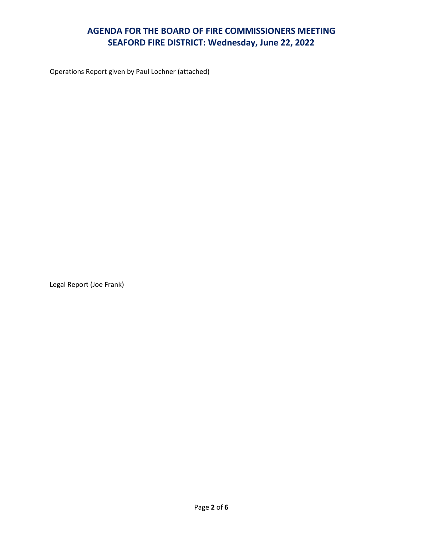Operations Report given by Paul Lochner (attached)

Legal Report (Joe Frank)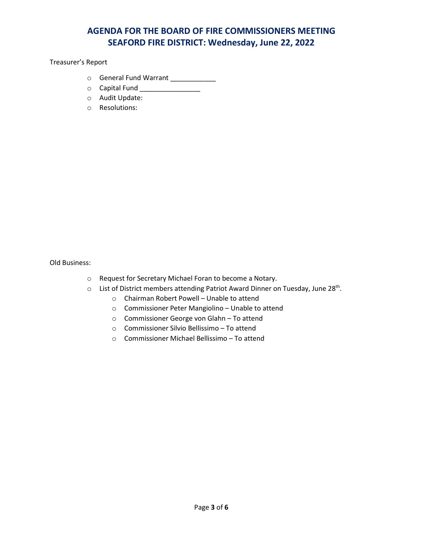Treasurer's Report

- o General Fund Warrant \_\_\_\_\_\_\_\_\_\_\_\_
- o Capital Fund \_\_\_\_\_\_\_\_\_\_\_\_\_\_\_\_
- o Audit Update:
- o Resolutions:

Old Business:

- o Request for Secretary Michael Foran to become a Notary.
- o List of District members attending Patriot Award Dinner on Tuesday, June 28<sup>th</sup>.
	- o Chairman Robert Powell Unable to attend
	- o Commissioner Peter Mangiolino Unable to attend
	- o Commissioner George von Glahn To attend
	- o Commissioner Silvio Bellissimo To attend
	- o Commissioner Michael Bellissimo To attend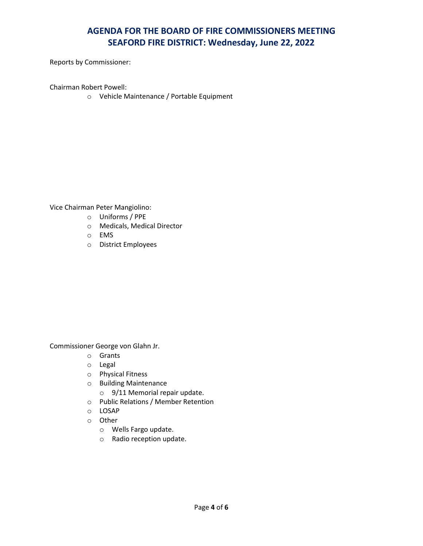Reports by Commissioner:

Chairman Robert Powell:

o Vehicle Maintenance / Portable Equipment

Vice Chairman Peter Mangiolino:

- o Uniforms / PPE
- o Medicals, Medical Director
- o EMS
- o District Employees

Commissioner George von Glahn Jr.

- o Grants
- o Legal
- o Physical Fitness
- o Building Maintenance
	- o 9/11 Memorial repair update.
- o Public Relations / Member Retention
- o LOSAP
- o Other
	- o Wells Fargo update.
	- o Radio reception update.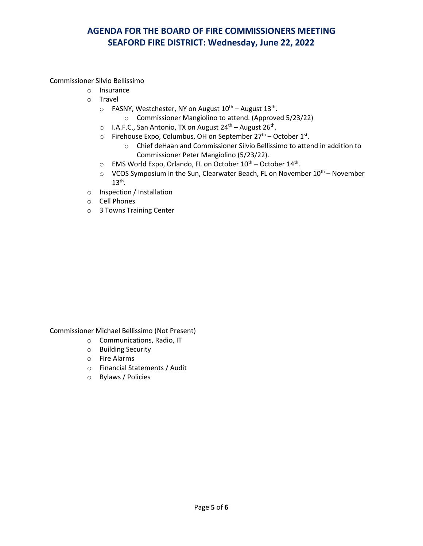Commissioner Silvio Bellissimo

- o Insurance
- o Travel
	- $\circ$  FASNY, Westchester, NY on August 10<sup>th</sup> August 13<sup>th</sup>.
		- o Commissioner Mangiolino to attend. (Approved 5/23/22)
	- o I.A.F.C., San Antonio, TX on August 24<sup>th</sup> August 26<sup>th</sup>.
	- o Firehouse Expo, Columbus, OH on September 27<sup>th</sup> October 1<sup>st</sup>.
		- o Chief deHaan and Commissioner Silvio Bellissimo to attend in addition to Commissioner Peter Mangiolino (5/23/22).
	- $\circ$  EMS World Expo, Orlando, FL on October  $10^{th}$  October  $14^{th}$ .
	- $\circ$  VCOS Symposium in the Sun, Clearwater Beach, FL on November 10<sup>th</sup> November  $13<sup>th</sup>$ .
- o Inspection / Installation
- o Cell Phones
- o 3 Towns Training Center

Commissioner Michael Bellissimo (Not Present)

- o Communications, Radio, IT
- o Building Security
- o Fire Alarms
- o Financial Statements / Audit
- o Bylaws / Policies